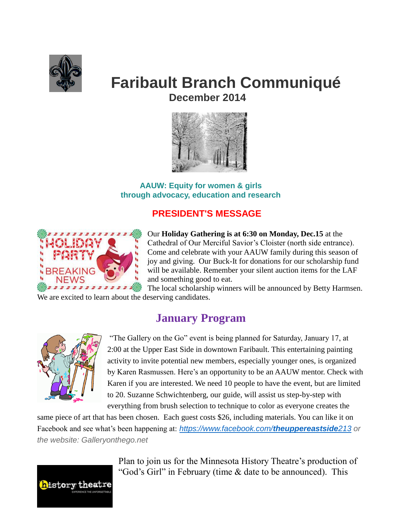

# **Faribault Branch Communiqué December 2014**



**AAUW: Equity for women & girls through advocacy, education and research**

## **PRESIDENT'S MESSAGE**



Our **Holiday Gathering is at 6:30 on Monday, Dec.15** at the Cathedral of Our Merciful Savior's Cloister (north side entrance). Come and celebrate with your AAUW family during this season of joy and giving. Our Buck-It for donations for our scholarship fund will be available. Remember your silent auction items for the LAF and something good to eat.

The local scholarship winners will be announced by Betty Harmsen. We are excited to learn about the deserving candidates.

## **January Program**



"The Gallery on the Go" event is being planned for Saturday, January 17, at 2:00 at the Upper East Side in downtown Faribault. This entertaining painting activity to invite potential new members, especially younger ones, is organized by Karen Rasmussen. Here's an opportunity to be an AAUW mentor. Check with Karen if you are interested. We need 10 people to have the event, but are limited to 20. Suzanne Schwichtenberg, our guide, will assist us step-by-step with everything from brush selection to technique to color as everyone creates the

same piece of art that has been chosen. Each guest costs \$26, including materials. You can like it on Facebook and see what's been happening at: *[https://www.facebook.com/](https://www.facebook.com/theuppereastside213)theuppereastside213 or the website: Galleryonthego.net*



Plan to join us for the Minnesota History Theatre's production of "God's Girl" in February (time & date to be announced). This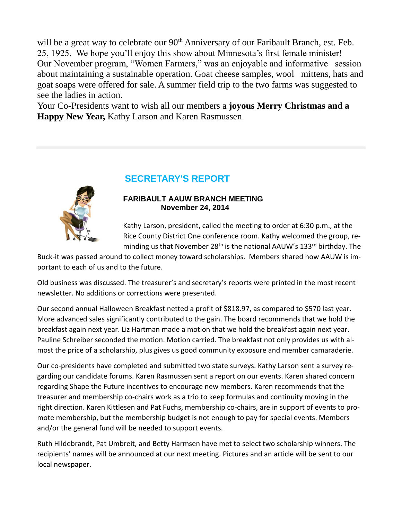will be a great way to celebrate our 90<sup>th</sup> Anniversary of our Faribault Branch, est. Feb. 25, 1925. We hope you'll enjoy this show about Minnesota's first female minister! Our November program, "Women Farmers," was an enjoyable and informative session about maintaining a sustainable operation. Goat cheese samples, wool mittens, hats and goat soaps were offered for sale. A summer field trip to the two farms was suggested to see the ladies in action.

Your Co-Presidents want to wish all our members a **joyous Merry Christmas and a Happy New Year,** Kathy Larson and Karen Rasmussen

## **SECRETARY'S REPORT**



#### **FARIBAULT AAUW BRANCH MEETING November 24, 2014**

Kathy Larson, president, called the meeting to order at 6:30 p.m., at the Rice County District One conference room. Kathy welcomed the group, reminding us that November 28<sup>th</sup> is the national AAUW's 133<sup>rd</sup> birthday. The

Buck-it was passed around to collect money toward scholarships. Members shared how AAUW is important to each of us and to the future.

Old business was discussed. The treasurer's and secretary's reports were printed in the most recent newsletter. No additions or corrections were presented.

Our second annual Halloween Breakfast netted a profit of \$818.97, as compared to \$570 last year. More advanced sales significantly contributed to the gain. The board recommends that we hold the breakfast again next year. Liz Hartman made a motion that we hold the breakfast again next year. Pauline Schreiber seconded the motion. Motion carried. The breakfast not only provides us with almost the price of a scholarship, plus gives us good community exposure and member camaraderie.

Our co-presidents have completed and submitted two state surveys. Kathy Larson sent a survey regarding our candidate forums. Karen Rasmussen sent a report on our events. Karen shared concern regarding Shape the Future incentives to encourage new members. Karen recommends that the treasurer and membership co-chairs work as a trio to keep formulas and continuity moving in the right direction. Karen Kittlesen and Pat Fuchs, membership co-chairs, are in support of events to promote membership, but the membership budget is not enough to pay for special events. Members and/or the general fund will be needed to support events.

Ruth Hildebrandt, Pat Umbreit, and Betty Harmsen have met to select two scholarship winners. The recipients' names will be announced at our next meeting. Pictures and an article will be sent to our local newspaper.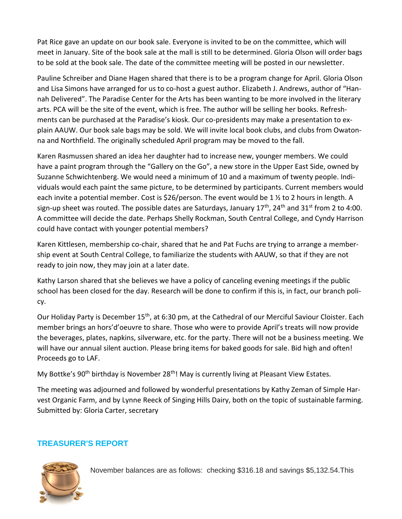Pat Rice gave an update on our book sale. Everyone is invited to be on the committee, which will meet in January. Site of the book sale at the mall is still to be determined. Gloria Olson will order bags to be sold at the book sale. The date of the committee meeting will be posted in our newsletter.

Pauline Schreiber and Diane Hagen shared that there is to be a program change for April. Gloria Olson and Lisa Simons have arranged for us to co-host a guest author. Elizabeth J. Andrews, author of "Hannah Delivered". The Paradise Center for the Arts has been wanting to be more involved in the literary arts. PCA will be the site of the event, which is free. The author will be selling her books. Refreshments can be purchased at the Paradise's kiosk. Our co-presidents may make a presentation to explain AAUW. Our book sale bags may be sold. We will invite local book clubs, and clubs from Owatonna and Northfield. The originally scheduled April program may be moved to the fall.

Karen Rasmussen shared an idea her daughter had to increase new, younger members. We could have a paint program through the "Gallery on the Go", a new store in the Upper East Side, owned by Suzanne Schwichtenberg. We would need a minimum of 10 and a maximum of twenty people. Individuals would each paint the same picture, to be determined by participants. Current members would each invite a potential member. Cost is \$26/person. The event would be 1 ½ to 2 hours in length. A sign-up sheet was routed. The possible dates are Saturdays, January  $17<sup>th</sup>$ , 24<sup>th</sup> and 31<sup>st</sup> from 2 to 4:00. A committee will decide the date. Perhaps Shelly Rockman, South Central College, and Cyndy Harrison could have contact with younger potential members?

Karen Kittlesen, membership co-chair, shared that he and Pat Fuchs are trying to arrange a membership event at South Central College, to familiarize the students with AAUW, so that if they are not ready to join now, they may join at a later date.

Kathy Larson shared that she believes we have a policy of canceling evening meetings if the public school has been closed for the day. Research will be done to confirm if this is, in fact, our branch policy.

Our Holiday Party is December 15<sup>th</sup>, at 6:30 pm, at the Cathedral of our Merciful Saviour Cloister. Each member brings an hors'd'oeuvre to share. Those who were to provide April's treats will now provide the beverages, plates, napkins, silverware, etc. for the party. There will not be a business meeting. We will have our annual silent auction. Please bring items for baked goods for sale. Bid high and often! Proceeds go to LAF.

My Bottke's 90<sup>th</sup> birthday is November 28<sup>th</sup>! May is currently living at Pleasant View Estates.

The meeting was adjourned and followed by wonderful presentations by Kathy Zeman of Simple Harvest Organic Farm, and by Lynne Reeck of Singing Hills Dairy, both on the topic of sustainable farming. Submitted by: Gloria Carter, secretary

## **TREASURER'S REPORT**



November balances are as follows: checking \$316.18 and savings \$5,132.54.This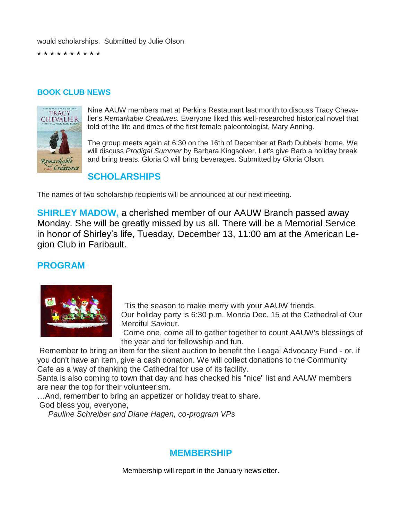would scholarships. Submitted by Julie Olson

\* \* \* \* \* \* \* \* \* \*

#### **BOOK CLUB NEWS**



Nine AAUW members met at Perkins Restaurant last month to discuss Tracy Chevalier's *Remarkable Creatures.* Everyone liked this well-researched historical novel that told of the life and times of the first female paleontologist, Mary Anning.

The group meets again at 6:30 on the 16th of December at Barb Dubbels' home. We will discuss *Prodigal Summer* by Barbara Kingsolver. Let's give Barb a holiday break and bring treats. Gloria O will bring beverages. Submitted by Gloria Olson.

## **SCHOLARSHIPS**

The names of two scholarship recipients will be announced at our next meeting.

**SHIRLEY MADOW,** a cherished member of our AAUW Branch passed away Monday. She will be greatly missed by us all. There will be a Memorial Service in honor of Shirley's life, Tuesday, December 13, 11:00 am at the American Legion Club in Faribault.

## **PROGRAM**



'Tis the season to make merry with your AAUW friends Our holiday party is 6:30 p.m. Monda Dec. 15 at the Cathedral of Our Merciful Saviour.

Come one, come all to gather together to count AAUW's blessings of the year and for fellowship and fun.

Remember to bring an item for the silent auction to benefit the Leagal Advocacy Fund - or, if you don't have an item, give a cash donation. We will collect donations to the Community Cafe as a way of thanking the Cathedral for use of its facility.

Santa is also coming to town that day and has checked his "nice" list and AAUW members are near the top for their volunteerism.

…And, remember to bring an appetizer or holiday treat to share.

God bless you, everyone,

*Pauline Schreiber and Diane Hagen, co-program VPs*

## **MEMBERSHIP**

Membership will report in the January newsletter.